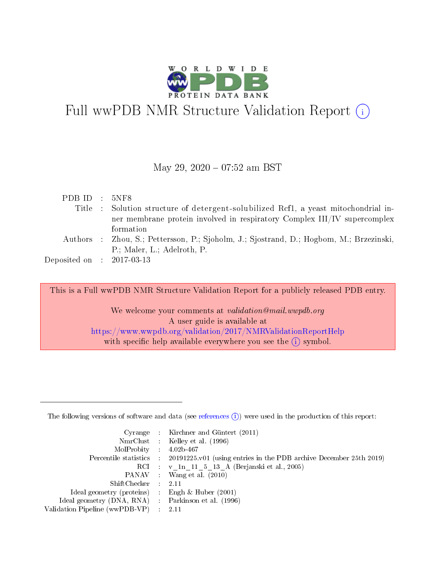

## Full wwPDB NMR Structure Validation Report (i)

#### May 29, 2020 - 07:52 am BST

| PDB ID : 5NF8                        |                                                                                         |
|--------------------------------------|-----------------------------------------------------------------------------------------|
|                                      | Title : Solution structure of detergent-solubilized Rcf1, a yeast mitochondrial in-     |
|                                      | ner membrane protein involved in respiratory Complex III/IV supercomplex                |
|                                      | formation                                                                               |
|                                      | Authors : Zhou, S.; Pettersson, P.; Sjoholm, J.; Sjostrand, D.; Hogbom, M.; Brzezinski, |
|                                      | P.; Maler, L.; Adelroth, P.                                                             |
| Deposited on $\therefore$ 2017-03-13 |                                                                                         |

This is a Full wwPDB NMR Structure Validation Report for a publicly released PDB entry.

We welcome your comments at *validation@mail.wwpdb.org* A user guide is available at <https://www.wwpdb.org/validation/2017/NMRValidationReportHelp> with specific help available everywhere you see the  $(i)$  symbol.

The following versions of software and data (see [references](https://www.wwpdb.org/validation/2017/NMRValidationReportHelp#references)  $(1)$ ) were used in the production of this report:

|                                                     | Cyrange : Kirchner and Güntert (2011)                                  |
|-----------------------------------------------------|------------------------------------------------------------------------|
|                                                     | NmrClust : Kelley et al. (1996)                                        |
| $MolProbability$ 4.02b-467                          |                                                                        |
| Percentile statistics :                             | $20191225$ , v01 (using entries in the PDB archive December 25th 2019) |
|                                                     | RCI : v 1n 11 5 13 A (Berjanski et al., 2005)                          |
|                                                     | PANAV : Wang et al. (2010)                                             |
| $ShiftChecker$ : 2.11                               |                                                                        |
| Ideal geometry (proteins) : Engh $\&$ Huber (2001)  |                                                                        |
| Ideal geometry (DNA, RNA) : Parkinson et al. (1996) |                                                                        |
| Validation Pipeline (wwPDB-VP)                      | -2.11                                                                  |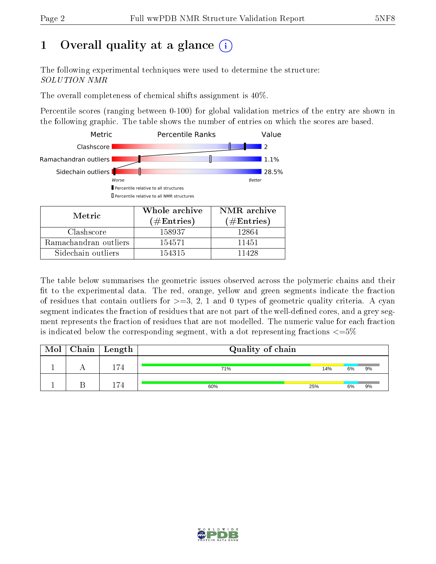### 1 [O](https://www.wwpdb.org/validation/2017/NMRValidationReportHelp#overall_quality)verall quality at a glance (i)

The following experimental techniques were used to determine the structure: SOLUTION NMR

The overall completeness of chemical shifts assignment is 40%.

Percentile scores (ranging between 0-100) for global validation metrics of the entry are shown in the following graphic. The table shows the number of entries on which the scores are based.



Sidechain outliers 154315 11428

The table below summarises the geometric issues observed across the polymeric chains and their fit to the experimental data. The red, orange, yellow and green segments indicate the fraction of residues that contain outliers for  $>=3, 2, 1$  and 0 types of geometric quality criteria. A cyan segment indicates the fraction of residues that are not part of the well-defined cores, and a grey segment represents the fraction of residues that are not modelled. The numeric value for each fraction is indicated below the corresponding segment, with a dot representing fractions  $\epsilon = 5\%$ 

| Mol | $Chain$ Length | Quality of chain |     |    |    |
|-----|----------------|------------------|-----|----|----|
|     | 174            | 71%              | 14% | 6% | 9% |
|     | 74             | 60%              | 25% | 6% | 9% |

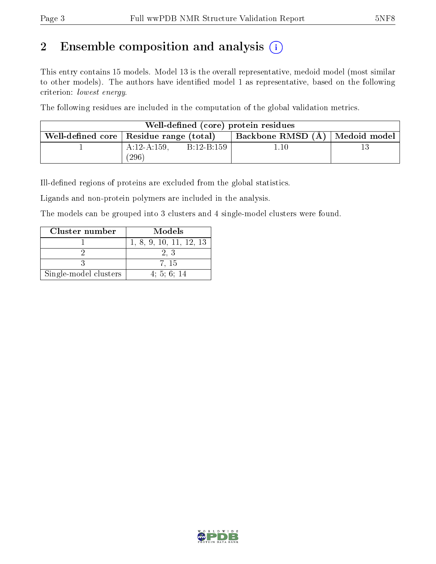### 2 Ensemble composition and analysis  $(i)$

This entry contains 15 models. Model 13 is the overall representative, medoid model (most similar to other models). The authors have identified model 1 as representative, based on the following criterion: lowest energy.

The following residues are included in the computation of the global validation metrics.

| Well-defined (core) protein residues |                                           |                                  |  |  |  |  |
|--------------------------------------|-------------------------------------------|----------------------------------|--|--|--|--|
|                                      | Well-defined core   Residue range (total) | Backbone RMSD (A)   Medoid model |  |  |  |  |
|                                      | $A:12-A:159$<br>B:12-B:159<br>296         | L.10                             |  |  |  |  |

Ill-defined regions of proteins are excluded from the global statistics.

Ligands and non-protein polymers are included in the analysis.

The models can be grouped into 3 clusters and 4 single-model clusters were found.

| Cluster number        | Models                  |
|-----------------------|-------------------------|
|                       | 1, 8, 9, 10, 11, 12, 13 |
|                       |                         |
|                       | 7.15                    |
| Single-model clusters | 4; 5; 6; 14             |

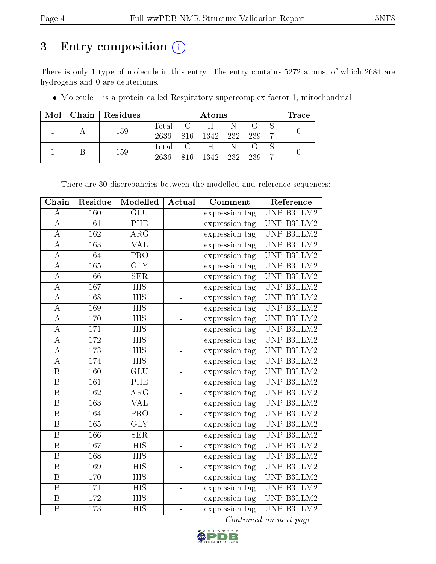### 3 Entry composition (i)

There is only 1 type of molecule in this entry. The entry contains 5272 atoms, of which 2684 are hydrogens and 0 are deuteriums.

Molecule 1 is a protein called Respiratory supercomplex factor 1, mitochondrial.

| Mol |   | Chain   Residues |      | Atoms                 |    |                                               | Trace |
|-----|---|------------------|------|-----------------------|----|-----------------------------------------------|-------|
|     |   |                  |      | Total C H             |    | $N \quad ()$                                  |       |
|     |   | 159              |      | 2636 816 1342 232 239 |    |                                               |       |
|     | B |                  |      | Total C H             | N. | $\left( \begin{array}{c} \end{array} \right)$ |       |
|     |   | 159              | 2636 | 816 1342 232          |    | - 239                                         |       |

There are 30 discrepancies between the modelled and reference sequences:

| Chain                   | Residue | Modelled                  | Actual                   | Comment        | Reference            |
|-------------------------|---------|---------------------------|--------------------------|----------------|----------------------|
| A                       | 160     | GLU                       |                          | expression tag | UNP B3LLM2           |
| $\boldsymbol{A}$        | 161     | PHE                       | ä,                       | expression tag | UNP B3LLM2           |
| А                       | 162     | $\rm{ARG}$                | $\overline{\phantom{0}}$ | expression tag | UNP B3LLM2           |
| А                       | 163     | <b>VAL</b>                |                          | expression tag | UNP B3LLM2           |
| А                       | 164     | PRO                       |                          | expression tag | UNP B3LLM2           |
| А                       | 165     | <b>GLY</b>                |                          | expression tag | UNP B3LLM2           |
| A                       | 166     | SER                       | ÷                        | expression tag | UNP B3LLM2           |
| $\boldsymbol{A}$        | 167     | <b>HIS</b>                |                          | expression tag | UNP B3LLM2           |
| А                       | 168     | <b>HIS</b>                |                          | expression tag | UNP B3LLM2           |
| А                       | 169     | <b>HIS</b>                |                          | expression tag | UNP B3LLM2           |
| $\boldsymbol{A}$        | 170     | <b>HIS</b>                | $\overline{\phantom{0}}$ | expression tag | UNP B3LLM2           |
| $\overline{\rm A}$      | 171     | <b>HIS</b>                |                          | expression tag | UNP B3LLM2           |
| $\boldsymbol{A}$        | 172     | <b>HIS</b>                | $\overline{\phantom{0}}$ | expression tag | UNP B3LLM2           |
| $\boldsymbol{A}$        | 173     | $\overline{\mathrm{HIS}}$ |                          | expression tag | UNP B3LLM2           |
| $\boldsymbol{A}$        | 174     | <b>HIS</b>                | ÷,                       | expression tag | UNP B3LLM2           |
| B                       | 160     | GLU                       |                          | expression tag | B3LLM2<br><b>UNP</b> |
| $\overline{\mathbf{B}}$ | 161     | PHE                       | ÷,                       | expression tag | UNP B3LLM2           |
| B                       | 162     | $\rm{ARG}$                |                          | expression tag | UNP B3LLM2           |
| $\boldsymbol{B}$        | 163     | <b>VAL</b>                |                          | expression tag | UNP B3LLM2           |
| B                       | 164     | PRO                       |                          | expression tag | B3LLM2<br><b>UNP</b> |
| $\overline{\mathrm{B}}$ | 165     | $\overline{\text{GLY}}$   | $\blacksquare$           | expression tag | <b>UNP</b><br>B3LLM2 |
| $\overline{B}$          | 166     | <b>SER</b>                |                          | expression tag | UNP B3LLM2           |
| $\boldsymbol{B}$        | 167     | <b>HIS</b>                | ÷,                       | expression tag | UNP B3LLM2           |
| $\overline{\mathrm{B}}$ | 168     | <b>HIS</b>                |                          | expression tag | <b>UNP</b><br>B3LLM2 |
| B                       | 169     | <b>HIS</b>                |                          | expression tag | <b>UNP</b><br>B3LLM2 |
| $\overline{\mathrm{B}}$ | 170     | $\overline{HIS}$          |                          | expression tag | B3LLM2<br><b>UNP</b> |
| $\boldsymbol{B}$        | 171     | <b>HIS</b>                | ÷                        | expression tag | <b>UNP</b><br>B3LLM2 |
| $\overline{B}$          | 172     | <b>HIS</b>                |                          | expression tag | <b>UNP</b><br>B3LLM2 |
| $\boldsymbol{B}$        | 173     | <b>HIS</b>                |                          | expression tag | UNP B3LLM2           |

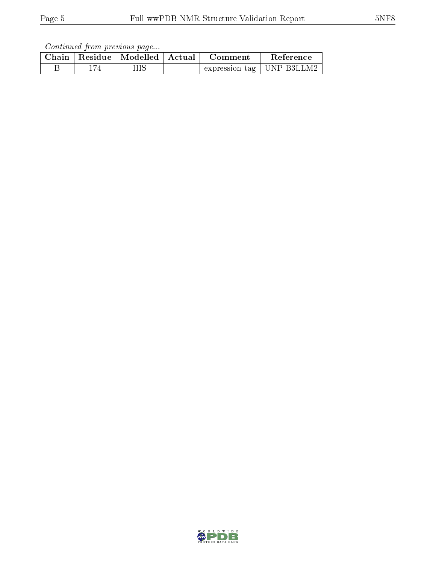| Chain | Residue   Modelled   Actual |        | Comment | Reference                   |
|-------|-----------------------------|--------|---------|-----------------------------|
|       | ЧIS                         | $\sim$ |         | expression tag   UNP B3LLM2 |

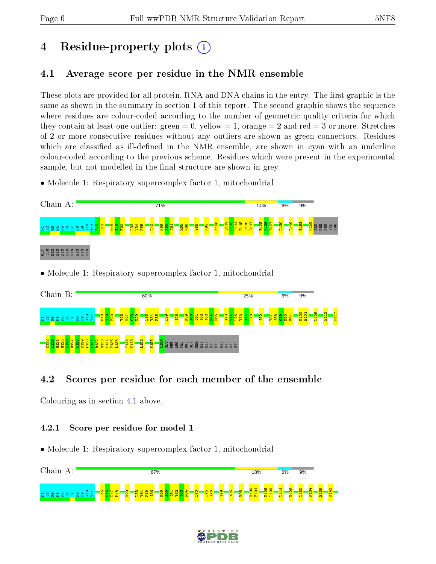### 4 Residue-property plots  $\binom{1}{1}$

### <span id="page-5-0"></span>4.1 Average score per residue in the NMR ensemble

These plots are provided for all protein, RNA and DNA chains in the entry. The first graphic is the same as shown in the summary in section 1 of this report. The second graphic shows the sequence where residues are colour-coded according to the number of geometric quality criteria for which they contain at least one outlier: green  $= 0$ , yellow  $= 1$ , orange  $= 2$  and red  $= 3$  or more. Stretches of 2 or more consecutive residues without any outliers are shown as green connectors. Residues which are classified as ill-defined in the NMR ensemble, are shown in cyan with an underline colour-coded according to the previous scheme. Residues which were present in the experimental sample, but not modelled in the final structure are shown in grey.

• Molecule 1: Respiratory supercomplex factor 1, mitochondrial





### 4.2 Scores per residue for each member of the ensemble

Colouring as in section [4.1](#page-5-0) above.

#### 4.2.1 Score per residue for model 1



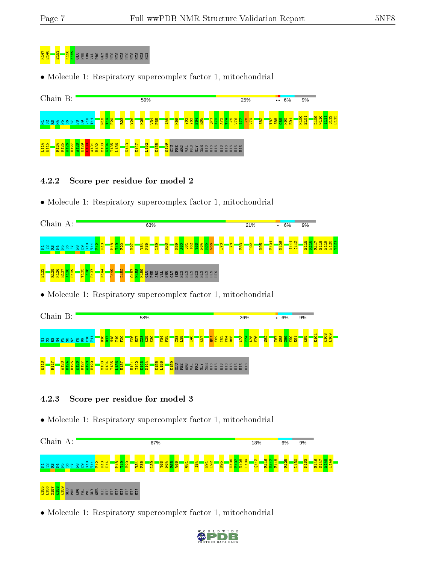### en<br><mark>B</mark>eles Besta arab arab ar

• Molecule 1: Respiratory supercomplex factor 1, mitochondrial



#### 4.2.2 Score per residue for model 2

• Molecule 1: Respiratory supercomplex factor 1, mitochondrial



• Molecule 1: Respiratory supercomplex factor 1, mitochondrial



#### 4.2.3 Score per residue for model 3

• Molecule 1: Respiratory supercomplex factor 1, mitochondrial



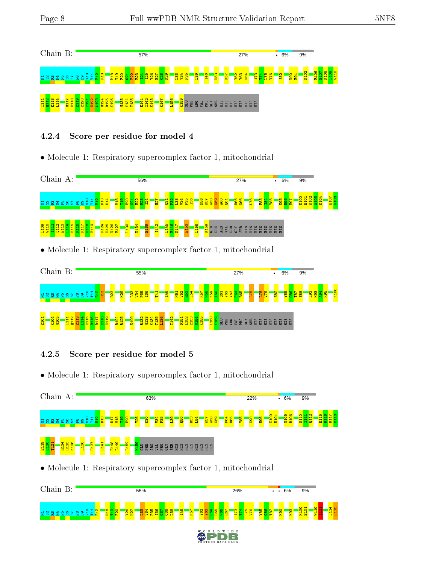

#### 4.2.4 Score per residue for model 4

• Molecule 1: Respiratory supercomplex factor 1, mitochondrial





#### 4.2.5 Score per residue for model 5

| Chain A:                                                                                                                                            | 63%                                                                                                                                                                 | 22%                                                             | .6%<br>9%                                                                   |
|-----------------------------------------------------------------------------------------------------------------------------------------------------|---------------------------------------------------------------------------------------------------------------------------------------------------------------------|-----------------------------------------------------------------|-----------------------------------------------------------------------------|
| <b>E</b> nder<br>$\overline{F}$<br><u>ងនួននាងស្រុកទីក្នុង</u>                                                                                       | <b>R</b> 64<br>R65<br>$\overline{26}$<br><b>RES</b><br>Resigna<br>$\overline{39}$<br><b>Dap</b><br><b>S</b><br>$\frac{1}{25}$<br>ា<br><mark>អ្នក</mark><br><b>P</b> | K100<br>E101<br>88 <sub>N</sub><br>$\frac{1}{26}$<br><b>OGN</b> | <b>M105</b><br><b>R106</b><br>$\frac{11}{2}$<br>Þ                           |
| E148<br>L149<br>R <sub>125</sub><br>K <sub>126</sub><br><b>1130</b><br>L <sub>152</sub><br>E <sub>137</sub><br>E <sub>14</sub> :<br>R <sub>12</sub> | <b>B</b><br>Baasean and B<br><b>មួយ</b>                                                                                                                             |                                                                 |                                                                             |
|                                                                                                                                                     | • Molecule 1: Respiratory supercomplex factor 1, mitochondrial                                                                                                      |                                                                 |                                                                             |
| Chain B:                                                                                                                                            | 55%                                                                                                                                                                 | 26%                                                             | $\cdot \cdot 6\%$<br>9%                                                     |
| <mark>'열음없'</mark><br><b>29</b><br><b>E27</b><br>信 <mark>間</mark>                                                                                   | $\frac{1}{\sqrt{2}}$<br>$\frac{84}{64}$<br>$\frac{32}{2}$<br><mark>ន្ទីខ្លួននី</mark> ទី<br><b>FB1</b><br>$\frac{198}{99}$<br>$\frac{8}{2}$<br><u>ig</u>            | 88<br><b>9211</b><br>175<br><b>P<sub>1</sub></b><br>T87         | K <sub>100</sub><br>E101<br><b>QGX</b><br><b>PON</b><br>Ē<br>$\blacksquare$ |

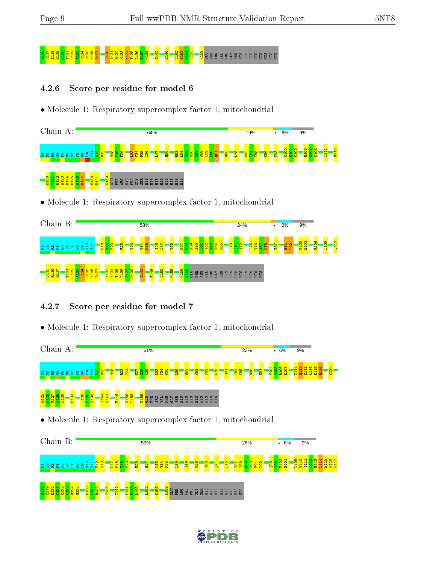### $B$  2  $B$  3  $B$  3  $B$  E1  $B$  E1  $B$  E1  $B$  E1  $B$  E153  $B$

#### 4.2.6 Score per residue for model 6

• Molecule 1: Respiratory supercomplex factor 1, mitochondrial

| Chain<br>$A$ :                                      | 64%                                                                                                                                | 19%                                            | 6%<br>$\bullet$  | 9%                                                                        |
|-----------------------------------------------------|------------------------------------------------------------------------------------------------------------------------------------|------------------------------------------------|------------------|---------------------------------------------------------------------------|
| 3722<br>로 없                                         | <mark>'ខ្ទ</mark> ីដី <mark>និ</mark> '<br>$\overline{a}$<br>ន្ត្រី ន <mark>ិ</mark><br><b>Q50</b><br>R53<br><b>7PT</b><br>ျဖ<br>学 | $\overline{5}$<br><b>ROS</b><br><b>io</b><br>E | K100<br><b>R</b> | <u>ိန</u><br>$\frac{2}{10}$<br>102<br>ႜႜ<br>$\blacksquare$<br>쿹<br>п<br>로 |
| <b>B140</b><br>量<br>Ξ<br>눭<br>뮵<br>쿭<br>₹<br>E<br>풉 | <b>GLU</b><br>ARC<br>톥<br>딣<br>密<br>s<br>圖<br>E<br>Е<br>Е<br>믑<br>Ħ<br>Е<br>Ħ<br>Б                                                 |                                                |                  |                                                                           |

• Molecule 1: Respiratory supercomplex factor 1, mitochondrial



#### 4.2.7 Score per residue for model 7

• Molecule 1: Respiratory supercomplex factor 1, mitochondrial

| Chain<br>A:                                                             | 61%                                                                                                                                                                | 22%<br>$.6\%$<br>9%                                                                                                                                                                                                                                                                        |
|-------------------------------------------------------------------------|--------------------------------------------------------------------------------------------------------------------------------------------------------------------|--------------------------------------------------------------------------------------------------------------------------------------------------------------------------------------------------------------------------------------------------------------------------------------------|
| $\sqrt{20}$<br>$\frac{9}{11}$<br>효료<br>로<br>တ္တ<br>စ္ကာ<br>8<br>×<br>řο | $\frac{1}{2}$<br><mark>ន្ទ្រី ន</mark> ្ទ<br><b>BTM</b><br>$\overline{139}$<br><b>M58</b><br>$\frac{127}{28}$<br>ന<br>8Z <mark>x</mark><br>Y62<br>횥<br>Ĥ.<br>留     | $\Rightarrow$<br>$\overline{\mathbf{R}}$<br>-<br>₽<br>ъ<br>Ö<br>$\overline{\phantom{0}}$<br>₩<br>$\overline{170}$<br><b>SC</b><br>$\infty$ i<br>$\blacksquare$<br>$\blacksquare$<br><b>图</b><br>$\frac{8}{12}$<br>E<br>로로<br><b>BS</b><br>률<br><b>e</b><br>뤖<br>륣<br>둅<br>룹<br>Ξ<br>뮨<br>Б |
| M133<br>Eng<br>Eng<br>R <sub>125</sub><br>륣<br>÷                        | K155<br>L156<br>I142<br>K143<br>E146<br>K <sub>15</sub><br>E<br>뷙<br>ARG<br><b>TRV</b><br>ь<br>s<br>E<br>Б<br>Ìш<br>ы<br>ы<br>in i<br>in i<br>E.<br>$\overline{r}$ | ELE<br>ы                                                                                                                                                                                                                                                                                   |



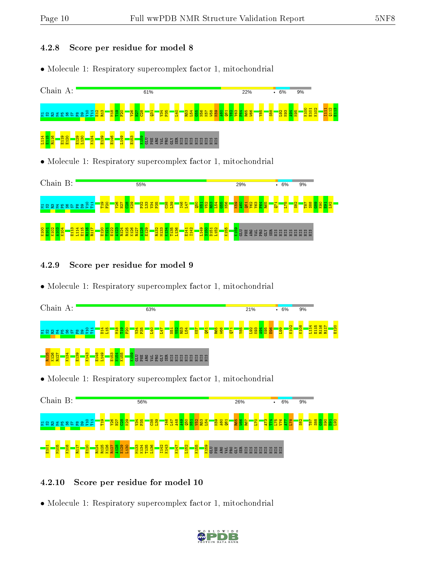#### 4.2.8 Score per residue for model 8

• Molecule 1: Respiratory supercomplex factor 1, mitochondrial



• Molecule 1: Respiratory supercomplex factor 1, mitochondrial



#### 4.2.9 Score per residue for model 9

• Molecule 1: Respiratory supercomplex factor 1, mitochondrial

| Chain<br>A:                                                                                                | 63%                                                                                                                                                                   | 6%<br>21%<br>9%<br>$\bullet$                                                                                                                                                                       |
|------------------------------------------------------------------------------------------------------------|-----------------------------------------------------------------------------------------------------------------------------------------------------------------------|----------------------------------------------------------------------------------------------------------------------------------------------------------------------------------------------------|
| 유북<br>롳<br>품 잃<br>ന<br>က္<br>$\circ$ $\sim$<br>െ<br><b>F</b><br><b>to</b><br>حم<br>Dr.<br>$\sim$<br>-<br>▭ | <mark>별법</mark><br>불음원<br><b>Pad</b><br>Pad<br><b>Igli</b><br>V52<br>$\frac{140}{2}$<br>R53<br>R65<br>W66<br><b>T47</b><br>Q61<br>$\overline{154}$<br>K57             | $\mathbf{\Omega}$<br>$\circ$<br>K <sub>10</sub><br>K <sub>10</sub><br>l <mark>eg</mark><br><b>185</b><br>$\frac{8}{2}$<br>$\frac{8}{29}$<br><b>P</b><br><u>၊ ၁</u><br>冒<br>풉<br>Η<br>$\alpha$<br>œ |
| E139<br>m.<br>K14<br><b>E</b><br>富賀島                                                                       | ELES<br>ELES<br>ELES<br><mark>67日</mark><br>四48<br>iō,<br><b>GLU</b><br>톤<br>ğ<br>$\overline{\mathbf{s}}$<br>贾<br>님<br>島<br>日<br>冒<br>E<br>븇<br>旵<br>圖<br>e<br>Е<br>Е |                                                                                                                                                                                                    |

• Molecule 1: Respiratory supercomplex factor 1, mitochondrial



#### 4.2.10 Score per residue for model 10

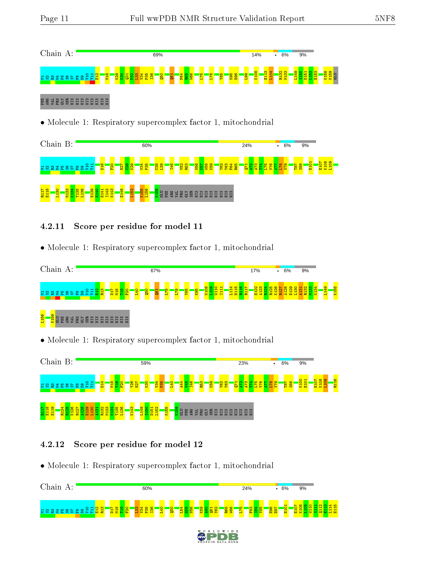

• Molecule 1: Respiratory supercomplex factor 1, mitochondrial

| B:<br>Chain                                          | 60%                                                                                                                                                      | 24%<br>6%<br>9%<br>$\bullet$                                                                                                                                                                   |                                  |
|------------------------------------------------------|----------------------------------------------------------------------------------------------------------------------------------------------------------|------------------------------------------------------------------------------------------------------------------------------------------------------------------------------------------------|----------------------------------|
| <b>Seash</b><br>2268<br>$\omega \sim \omega$<br>'로 않 | <b>D16</b><br><b>R53</b><br>N56<br>K57<br><b>825</b><br>$\frac{1}{20}$<br>ន <mark>្ត្រី</mark><br><mark>ng Ra</mark><br><b>S</b><br>N<br><b>146</b><br>읿 | −<br>E10<br>$\frac{1}{472}$<br>F64<br>R65<br>ത<br><mark>និន្ទា</mark><br>$\frac{162}{163}$<br>$\frac{88}{181}$<br>L <sub>75</sub><br>۴<br>œ<br><u>ာ</u><br>G<br>5.<br><b>R</b><br>œ.<br>Ħ<br>ь | $\infty$<br>ာ<br><b>RHS</b><br>冒 |
| R117<br>E118<br>႙ၟ<br>88<br>m<br>다<br>묩<br>붑<br>E    | K155<br>L156<br>$\frac{1}{2}$<br>ឌ<br>무<br>io.<br><b>GLU</b><br>凮<br>圅<br>뤖<br>Æ.<br>둅<br>븇<br>m<br>님<br>뵤<br>록<br>冒<br>풉<br>Б<br>Ħ<br>m                 | E<br>E<br>Ħ<br>E.<br>Ħ                                                                                                                                                                         |                                  |

#### 4.2.11 Score per residue for model 11

• Molecule 1: Respiratory supercomplex factor 1, mitochondrial



#### L156 s<br>Bis a se se se se se se se se se se

• Molecule 1: Respiratory supercomplex factor 1, mitochondrial



#### 4.2.12 Score per residue for model 12

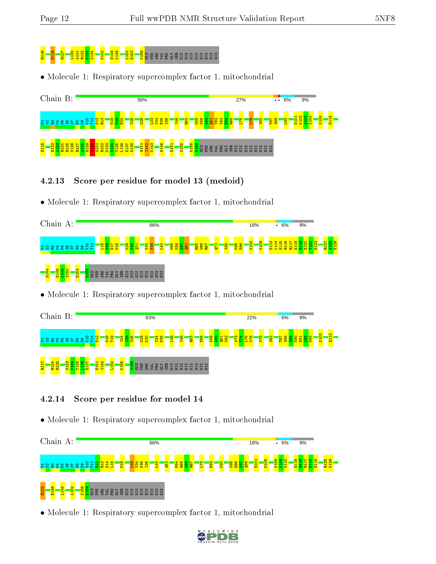# <mark>R</mark>ealar Banada Seria dan Seria dan Seria dan Seria dan Seria dan Seria dan Seria dan Seria dan Seria dan Seria<br>Ini dalam pendang dalam pendang dalam pendang dalam pendang dalam pendang dalam pendang dalam pendang dalam pe

• Molecule 1: Respiratory supercomplex factor 1, mitochondrial



#### 4.2.13 Score per residue for model 13 (medoid)

• Molecule 1: Respiratory supercomplex factor 1, mitochondrial



• Molecule 1: Respiratory supercomplex factor 1, mitochondrial



#### 4.2.14 Score per residue for model 14

• Molecule 1: Respiratory supercomplex factor 1, mitochondrial



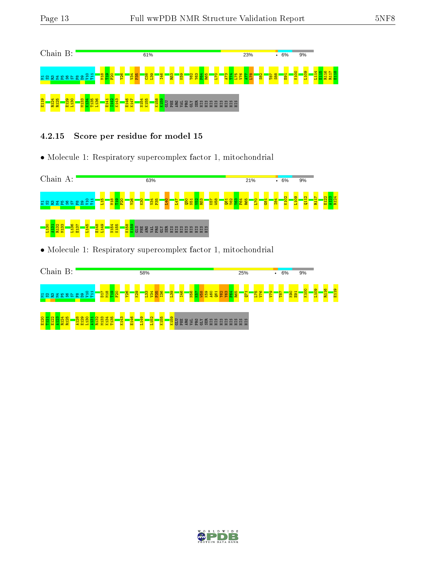

#### 4.2.15 Score per residue for model 15





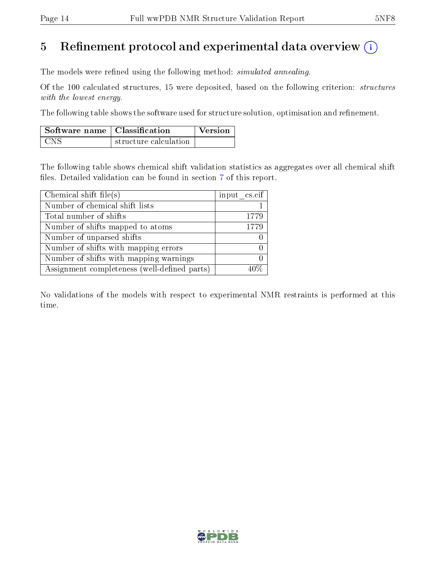### 5 Refinement protocol and experimental data overview  $\binom{1}{k}$

The models were refined using the following method: *simulated annealing*.

Of the 100 calculated structures, 15 were deposited, based on the following criterion: structures with the lowest energy.

The following table shows the software used for structure solution, optimisation and refinement.

| Software name   Classification |                       | <b>Version</b> |
|--------------------------------|-----------------------|----------------|
| L CNS                          | structure calculation |                |

The following table shows chemical shift validation statistics as aggregates over all chemical shift files. Detailed validation can be found in section [7](#page-24-0) of this report.

| Chemical shift file(s)                       | input cs.cif |
|----------------------------------------------|--------------|
| Number of chemical shift lists               |              |
| Total number of shifts                       | 1779         |
| Number of shifts mapped to atoms             | 1779         |
| Number of unparsed shifts                    |              |
| Number of shifts with mapping errors         |              |
| Number of shifts with mapping warnings       |              |
| Assignment completeness (well-defined parts) |              |

No validations of the models with respect to experimental NMR restraints is performed at this time.

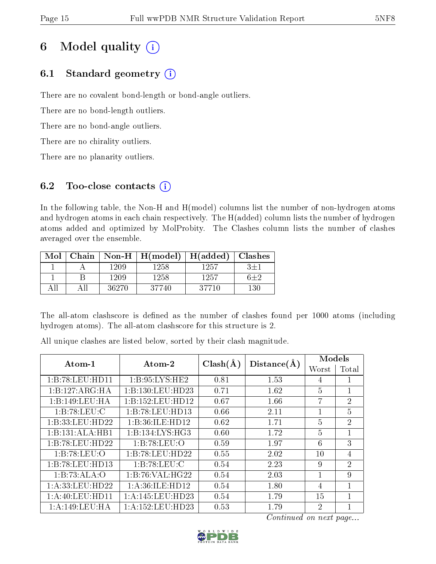### 6 Model quality  $(i)$

### 6.1 Standard geometry  $(i)$

There are no covalent bond-length or bond-angle outliers.

There are no bond-length outliers.

There are no bond-angle outliers.

There are no chirality outliers.

There are no planarity outliers.

#### 6.2 Too-close contacts  $(i)$

In the following table, the Non-H and H(model) columns list the number of non-hydrogen atoms and hydrogen atoms in each chain respectively. The H(added) column lists the number of hydrogen atoms added and optimized by MolProbity. The Clashes column lists the number of clashes averaged over the ensemble.

| Mol | Chain |       | $\mathbb{N}$ on-H   H(model) | $H(\mathrm{added})$ | $\vert$ Clashes |
|-----|-------|-------|------------------------------|---------------------|-----------------|
|     |       | 1209  | 1258                         | 1257                | $3 + 1$         |
|     |       | 1209  | 1258                         | 1257                | $6 + 2$         |
|     |       | 36270 | 37740                        | 37710               | 130             |

The all-atom clashscore is defined as the number of clashes found per 1000 atoms (including hydrogen atoms). The all-atom clashscore for this structure is 2.

All unique clashes are listed below, sorted by their clash magnitude.

| $\rm{Atom\text{-}1}$ | Atom-2              | $Clash(\AA)$ | Distance(A) | Models         |                |  |
|----------------------|---------------------|--------------|-------------|----------------|----------------|--|
|                      |                     |              |             | Worst          | Total          |  |
| 1:B:78:LEU:HDI1      | 1: B: 95: LYS: HE2  | 0.81         | 1.53        | 4              |                |  |
| 1:B:127:ARG:HA       | 1:B:130:LEU:HD23    | 0.71         | 1.62        | $\overline{5}$ |                |  |
| 1:B:149:LEU:HA       | 1:B:152:LEU:HD12    | 0.67         | 1.66        | 7              | $\overline{2}$ |  |
| 1:B:78:LEU:C         | 1:B:78:LEU:HD13     | 0.66         | 2.11        |                | 5              |  |
| 1:B:33:LEU:HD22      | 1:B:36:ILE:HD12     | 0.62         | 1.71        | $\overline{5}$ | $\overline{2}$ |  |
| 1:B:131:ALA:HB1      | 1: B: 134: LYS: HG3 | 0.60         | 1.72        | $\overline{5}$ | $\mathbf{1}$   |  |
| 1:B:78:LEU:HD22      | 1:B:78:LEU:O        | 0.59         | 1.97        | 6              | 3              |  |
| 1:B:78:LEU:O         | 1:B:78:LEU:HD22     | 0.55         | 2.02        | 10             | 4              |  |
| 1:B:78:LEU:HD13      | 1:B:78:LEU:C        | 0.54         | 2.23        | 9              | $\overline{2}$ |  |
| 1:B:73:ALA:O         | 1:B:76:VAL:HG22     | 0.54         | 2.03        |                | 9              |  |
| 1:A:33:LEU:HD22      | 1: A:36: ILE: HD12  | 0.54         | 1.80        | 4              |                |  |
| 1: A:40: LEU:HD11    | 1:A:145:LEU:HD23    | 0.54         | 1.79        | 15             |                |  |
| 1: A:149:LEU:HA      | 1:A:152:LEU:HD23    | 0.53         | 1.79        | $\overline{2}$ |                |  |

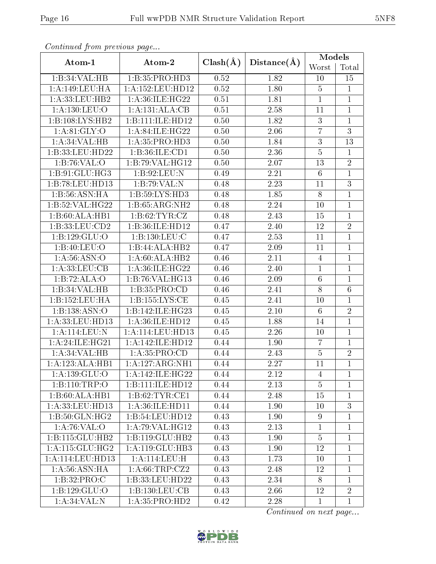| Conventaca prome providuo pago |                    |                   |             | $\overline{\textbf{Models}}$ |                |  |
|--------------------------------|--------------------|-------------------|-------------|------------------------------|----------------|--|
| Atom-1                         | Atom-2             | $Clash(\AA)$      | Distance(A) | Worst                        | Total          |  |
| 1:B:34:VAL:HB                  | 1:B:35:PRO:HD3     | 0.52              | 1.82        | 10                           | 15             |  |
| 1:A:149:LEU:HA                 | 1:A:152:LEU:HD12   | 0.52              | 1.80        | $\overline{5}$               | $\mathbf{1}$   |  |
| 1:A:33:LEU:HB2                 | 1:A:36:ILE:HG22    | $\overline{0.51}$ | 1.81        | $\mathbf{1}$                 | $\overline{1}$ |  |
| 1: A: 130: LEU: O              | 1:A:131:ALA:CB     | 0.51              | 2.58        | 11                           | $\mathbf{1}$   |  |
| 1:B:108:LYS:HB2                | 1:B:111:ILE:HD12   | 0.50              | 1.82        | 3                            | $\overline{1}$ |  |
| 1: A:81: GLY:O                 | 1:A:84:ILE:HG22    | 0.50              | 2.06        | $\overline{7}$               | $\overline{3}$ |  |
| 1:A:34:VAL:HB                  | 1:A:35:PRO:HD3     | 0.50              | 1.84        | $\sqrt{3}$                   | 13             |  |
| 1:B:33:LEU:HD22                | 1:B:36:ILE:CD1     | 0.50              | 2.36        | $\bf 5$                      | $\mathbf 1$    |  |
| 1:B:76:VAL:O                   | 1:B:79:VAL:HG12    | 0.50              | 2.07        | 13                           | $\overline{2}$ |  |
| 1:B:91:GLU:HG3                 | 1:B:92:LEU:N       | 0.49              | 2.21        | $\,6\,$                      | $\mathbf{1}$   |  |
| 1:B:78:LEU:HD13                | 1:B:79:VAL:N       | 0.48              | 2.23        | 11                           | $\overline{3}$ |  |
| 1:B:56:ASN:HA                  | 1: B:59: LYS: HD3  | 0.48              | 1.85        | $8\,$                        | $\mathbf{1}$   |  |
| 1:B:52:VAL:H G22               | 1:B:65:ARG:NH2     | 0.48              | 2.24        | 10                           | $\mathbf{1}$   |  |
| 1:B:60:ALA:HB1                 | 1:B:62:TYR:CZ      | 0.48              | 2.43        | 15                           | $\mathbf{1}$   |  |
| 1:B:33:LEU:CD2                 | 1:B:36:ILE:HD12    | 0.47              | 2.40        | 12                           | $\sqrt{2}$     |  |
| 1:B:129:GLU:O                  | 1:B:130:LEU:C      | 0.47              | 2.53        | 11                           | $\mathbf{1}$   |  |
| 1:B:40:LEU:O                   | 1:B:44:ALA:HB2     | 0.47              | 2.09        | 11                           | $\mathbf{1}$   |  |
| 1: A:56: ASN:O                 | 1: A:60:ALA:HB2    | 0.46              | 2.11        | $\overline{4}$               | $\mathbf{1}$   |  |
| 1: A:33: LEU: CB               | 1:A:36:ILE:HG22    | 0.46              | 2.40        | $\mathbf{1}$                 | $\mathbf{1}$   |  |
| 1:B:72:ALA:O                   | 1:B:76:VAL:HG13    | 0.46              | 2.09        | $\,6\,$                      | $\overline{1}$ |  |
| 1:B:34:VAL:HB                  | 1:B:35:PRO:CD      | 0.46              | 2.41        | $\overline{8}$               | $\overline{6}$ |  |
| 1:B:152:LEU:HA                 | 1: B: 155: LYS: CE | 0.45              | 2.41        | 10                           | $\mathbf{1}$   |  |
| 1:B:138:ASN:O                  | 1:B:142:ILE:HG23   | 0.45              | 2.10        | $\,6\,$                      | $\overline{2}$ |  |
| 1:A:33:LEU:HD13                | 1:A:36:ILE:HD12    | 0.45              | 1.88        | 14                           | $\overline{1}$ |  |
| 1:A:114:LEU:N                  | 1:A:114:LEU:HD13   | 0.45              | 2.26        | 10                           | $\overline{1}$ |  |
| 1: A:24:ILE:HG21               | 1:A:142:ILE:HD12   | 0.44              | 1.90        | $\overline{7}$               | $\mathbf{1}$   |  |
| 1:A:34:VAL:HB                  | 1: A: 35: PRO:CD   | 0.44              | 2.43        | $5\,$                        | $\overline{2}$ |  |
| 1:A:123:ALA:HB1                | 1:A:127:ARG:NH1    | 0.44              | 2.27        | 11                           | $\overline{1}$ |  |
| 1:A:139:GLU:O                  | 1: A:142: ILE:HG22 | 0.44              | 2.12        | 4                            | 1              |  |
| 1:B:110:TRP:O                  | 1:B:111:ILE:HD12   | 0.44              | 2.13        | $\overline{5}$               | $\mathbf{1}$   |  |
| 1:B:60:ALA:HB1                 | 1:B:62:TYR:CE1     | 0.44              | 2.48        | 15                           | $\mathbf{1}$   |  |
| 1:A:33:LEU:HD13                | 1: A:36: ILE: HD11 | 0.44              | 1.90        | 10                           | 3              |  |
| 1:B:50:GLN:HG2                 | 1:B:54:LEU:HD12    | 0.43              | 1.90        | 9                            | $\mathbf{1}$   |  |
| 1: A:76: VAL:O                 | 1: A:79: VAL: HG12 | 0.43              | 2.13        | $\mathbf{1}$                 | $\mathbf{1}$   |  |
| 1:B:115:GLU:HB2                | 1:B:119:GLU:HB2    | 0.43              | 1.90        | $\overline{5}$               | $\mathbf{1}$   |  |
| 1: A:115: GLU: HG2             | 1:A:119:GLU:HB3    | 0.43              | 1.90        | 12                           | $\mathbf{1}$   |  |
| 1:A:114:LEU:HD13               | 1:A:114:LEU:H      | 0.43              | 1.73        | 10                           | $\mathbf{1}$   |  |
| 1: A:56: ASN: HA               | 1: A:66:TRP:CZ2    | 0.43              | 2.48        | 12                           | $\mathbf{1}$   |  |
| 1:B:32:PRO:C                   | 1:B:33:LEU:HD22    | 0.43              | 2.34        | 8                            | $\mathbf{1}$   |  |
| 1:B:129:GLU:O                  | 1:B:130:LEU:CB     | 0.43              | 2.66        | 12                           | $\sqrt{2}$     |  |
| 1: A:34:VAL: N                 | 1:A:35:PRO:HD2     | 0.42              | 2.28        | $\mathbf{1}$                 | $\mathbf{1}$   |  |

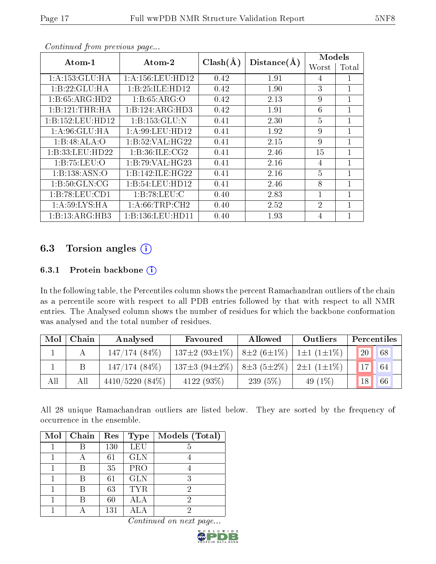| Atom-1           | $\boldsymbol{\mathrm{Atom}\text{-}2}$ | $Clash(\AA)$ | Distance(A) | Models         |                |  |
|------------------|---------------------------------------|--------------|-------------|----------------|----------------|--|
|                  |                                       |              |             | Worst          | Total          |  |
| 1:A:153:GLU:HA   | 1: A: 156: LEU: HD12                  | 0.42         | 1.91        | 4              | 1              |  |
| 1:B:22:GLU:HA    | 1:B:25:ILE:HD12                       | 0.42         | 1.90        | 3              | $\mathbf 1$    |  |
| 1:B:65:ARG:HD2   | 1: B:65: ARG:O                        | 0.42         | 2.13        | 9              | $\mathbf{1}$   |  |
| 1:B:121:THR:H    | 1:B:124:ARG:HD3                       | 0.42         | 1.91        | 6              | $\overline{1}$ |  |
| 1:B:152:LEU:HD12 | 1:B:153:GLU:N                         | 0.41         | 2.30        | $\overline{5}$ | $\overline{1}$ |  |
| 1: A:96: GLU: HA | 1: A:99: LEU: HD12                    | 0.41         | 1.92        | 9              | $\mathbf{1}$   |  |
| 1:B:48:ALA:O     | 1:B:52:VAL:HG22                       | 0.41         | 2.15        | 9              | 1              |  |
| 1:B:33:LEU:HD22  | 1: B:36: ILE: CG2                     | 0.41         | 2.46        | 15             | $\overline{1}$ |  |
| 1:B:75:LEU:O     | 1:B:79:VAL:HG23                       | 0.41         | 2.16        | $\overline{4}$ | $\mathbf{1}$   |  |
| 1:B:138:ASN:O    | 1:B:142:ILE:HG22                      | 0.41         | 2.16        | $\overline{5}$ | 1              |  |
| 1: B:50: GLN: CG | 1:B:54:LEU:HDI2                       | 0.41         | 2.46        | 8              | $\mathbf{1}$   |  |
| 1:B:78:LEU:CD1   | 1:B:78:LEU:C                          | 0.40         | 2.83        | 1              | $\overline{1}$ |  |
| 1: A:59: LYS: HA | 1: A:66:TRP:CH2                       | 0.40         | 2.52        | 2              | $\overline{1}$ |  |
| 1:B:13:ARG:HB3   | 1:B:136:LEU:HD11                      | 0.40         | 1.93        | 4              | $\overline{1}$ |  |

#### 6.3 Torsion angles  $(i)$

#### 6.3.1 Protein backbone (i)

In the following table, the Percentiles column shows the percent Ramachandran outliers of the chain as a percentile score with respect to all PDB entries followed by that with respect to all NMR entries. The Analysed column shows the number of residues for which the backbone conformation was analysed and the total number of residues.

| Mol | Chain | Analysed<br>Favoured |                            | Allowed                              | Outliers   | Percentiles           |
|-----|-------|----------------------|----------------------------|--------------------------------------|------------|-----------------------|
|     |       | 147/174(84%)         | $137\pm2(93\pm1\%)$        | $ 8\pm 2(6\pm 1\%) 1\pm 1(1\pm 1\%)$ |            | 68<br>20 <sub>1</sub> |
|     |       | 147/174(84%)         | 137 $\pm$ 3 (94 $\pm$ 2\%) | $ 8\pm3(5\pm2\%) 2\pm1(1\pm1\%)$     |            | $\blacksquare$ 64     |
| All | All   | $4410/5220(84\%)$    | 4122 $(93\%)$              | 239 $(5%)$                           | 49 $(1\%)$ | 66<br>18              |

All 28 unique Ramachandran outliers are listed below. They are sorted by the frequency of occurrence in the ensemble.

| Mol | Chain | Res | <b>Type</b> | Models (Total) |
|-----|-------|-----|-------------|----------------|
|     |       | 130 | <b>LEU</b>  |                |
|     |       | 61  | <b>GLN</b>  |                |
|     |       | 35  | <b>PRO</b>  |                |
|     |       | 61  | <b>GLN</b>  | 3              |
|     |       | 63  | <b>TYR</b>  | 2              |
|     |       | 60  | <b>ALA</b>  | 2              |
|     |       | 131 | A L A       | 2              |

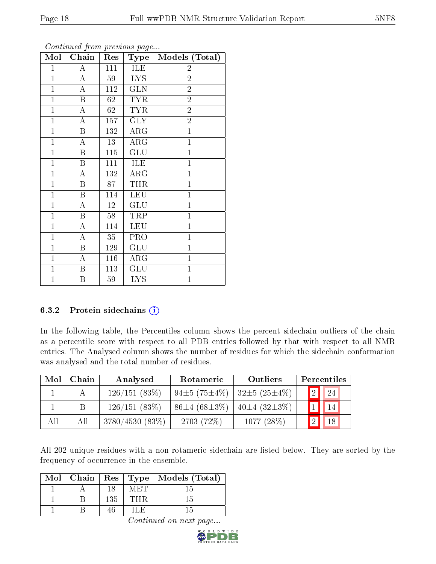| Mol            | Chain                   | Res | Type                    | Models (Total) |
|----------------|-------------------------|-----|-------------------------|----------------|
| $\mathbf{1}$   | A                       | 111 | ILE                     | $\overline{2}$ |
| $\mathbf{1}$   | $\boldsymbol{A}$        | 59  | LYS.                    | $\overline{2}$ |
| $\mathbf{1}$   | A                       | 112 | <b>GLN</b>              | $\overline{2}$ |
| $\overline{1}$ | $\overline{\mathrm{B}}$ | 62  | <b>TYR</b>              | $\overline{2}$ |
| $\overline{1}$ | $\overline{A}$          | 62  | <b>TYR</b>              | $\overline{2}$ |
| $\mathbf{1}$   | A                       | 157 | <b>GLY</b>              | $\overline{2}$ |
| $\mathbf{1}$   | $\overline{B}$          | 132 | $\rm{ARG}$              | $\overline{1}$ |
| $\mathbf{1}$   | A                       | 13  | $\rm{ARG}$              | $\overline{1}$ |
| $\mathbf{1}$   | $\boldsymbol{B}$        | 115 | GLU                     | $\mathbf 1$    |
| $\mathbf{1}$   | $\boldsymbol{B}$        | 111 | ILE                     | $\mathbf 1$    |
| $\mathbf{1}$   | $\boldsymbol{A}$        | 132 | ARG                     | $\mathbf{1}$   |
| $\mathbf{1}$   | B                       | 87  | <b>THR</b>              | $\mathbf{1}$   |
| $\mathbf{1}$   | $\boldsymbol{B}$        | 114 | <b>LEU</b>              | $\overline{1}$ |
| $\mathbf{1}$   | A                       | 12  | GLU                     | $\mathbf{1}$   |
| $\mathbf{1}$   | B                       | 58  | TRP                     | $\mathbf{1}$   |
| $\overline{1}$ | $\boldsymbol{A}$        | 114 | $\overline{\text{LEU}}$ | $\mathbf{1}$   |
| $\mathbf{1}$   | $\overline{\rm A}$      | 35  | <b>PRO</b>              | $\mathbf{1}$   |
| $\mathbf{1}$   | B                       | 129 | GLU                     | $\mathbf 1$    |
| $\overline{1}$ | $\boldsymbol{A}$        | 116 | $\rm{ARG}$              | $\mathbf{1}$   |
| $\mathbf{1}$   | $\, {\bf B}$            | 113 | GLU                     | $\mathbf{1}$   |
| $\mathbf{1}$   | Β                       | 59  | <b>LYS</b>              | $\mathbf{1}$   |

#### 6.3.2 Protein sidechains (i)

In the following table, the Percentiles column shows the percent sidechain outliers of the chain as a percentile score with respect to all PDB entries followed by that with respect to all NMR entries. The Analysed column shows the number of residues for which the sidechain conformation was analysed and the total number of residues.

| Mol | Chain | Analysed       | Rotameric                                             | Outliers  |  |                 | Percentiles              |  |
|-----|-------|----------------|-------------------------------------------------------|-----------|--|-----------------|--------------------------|--|
|     |       | 126/151(83%)   | 94 $\pm$ 5 (75 $\pm$ 4\%)   32 $\pm$ 5 (25 $\pm$ 4\%) |           |  |                 | $\boxed{2}$ $\boxed{24}$ |  |
|     | B     | 126/151(83%)   | 86 $\pm$ 4 (68 $\pm$ 3\%)   40 $\pm$ 4 (32 $\pm$ 3\%) |           |  | $\vert 1 \vert$ | $\vert$ 14               |  |
| All | All   | 3780/4530(83%) | 2703 (72\%)                                           | 1077(28%) |  | $\boxed{2}$     | $\vert$ 18               |  |

All 202 unique residues with a non-rotameric sidechain are listed below. They are sorted by the frequency of occurrence in the ensemble.

|  |     |        | Mol   Chain   Res   Type   Models (Total) |
|--|-----|--------|-------------------------------------------|
|  | 18  | M HT.  | ת ו                                       |
|  | 135 | 'I'H R | 15                                        |
|  | 46  |        | ۲.h                                       |

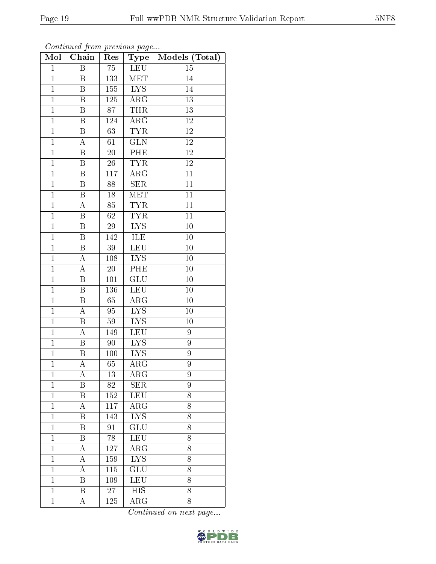| Mol            | Chain                   | Res    | Type                    | Models (Total)   |
|----------------|-------------------------|--------|-------------------------|------------------|
| $\mathbf{1}$   | $\overline{B}$          | 75     | <b>LEU</b>              | 15               |
| $\mathbf{1}$   | B                       | 133    | <b>MET</b>              | 14               |
| $\overline{1}$ | $\overline{\mathrm{B}}$ | 155    | $\overline{\text{LYS}}$ | 14               |
| $\mathbf{1}$   | B                       | 125    | $AR\overline{G}$        | 13               |
| $\overline{1}$ | $\overline{\mathrm{B}}$ | 87     | <b>THR</b>              | $\overline{13}$  |
| $\mathbf{1}$   | $\boldsymbol{B}$        | 124    | $\rm{ARG}$              | 12               |
| $\mathbf{1}$   | $\boldsymbol{B}$        | 63     | <b>TYR</b>              | 12               |
| $\mathbf{1}$   | A                       | 61     | $\overline{\text{GLN}}$ | 12               |
| $\overline{1}$ | $\boldsymbol{B}$        | 20     | PHE                     | 12               |
| $\overline{1}$ | Β                       | 26     | <b>TYR</b>              | 12               |
| $\mathbf{1}$   | $\boldsymbol{B}$        | 117    | $\rm{ARG}$              | 11               |
| $\mathbf{1}$   | $\boldsymbol{B}$        | 88     | $\overline{\text{SER}}$ | 11               |
| $\mathbf{1}$   | B                       | 18     | <b>MET</b>              | 11               |
| $\mathbf{1}$   | A                       | 85     | <b>TYR</b>              | 11               |
| $\mathbf{1}$   | B                       | 62     | <b>TYR</b>              | 11               |
| $\mathbf{1}$   | $\boldsymbol{B}$        | 29     | $\overline{\text{LYS}}$ | 10               |
| $\mathbf{1}$   | $\boldsymbol{B}$        | 142    | <b>ILE</b>              | 10               |
| $\mathbf{1}$   | B                       | 39     | <b>LEU</b>              | $10\,$           |
| $\mathbf{1}$   | $\boldsymbol{A}$        | 108    | $\overline{\text{LYS}}$ | 10               |
| $\overline{1}$ | $\overline{\rm A}$      | $20\,$ | PHE                     | 10               |
| $\mathbf{1}$   | B                       | 101    | GLU                     | 10               |
| $\mathbf{1}$   | $\overline{\mathrm{B}}$ | 136    | <b>LEU</b>              | $\overline{10}$  |
| $\mathbf{1}$   | B                       | 65     | ${\rm ARG}$             | 10               |
| $\overline{1}$ | A                       | 95     | $\overline{\text{LYS}}$ | 10               |
| $\mathbf{1}$   | $\boldsymbol{B}$        | 59     | $\overline{\text{LYS}}$ | 10               |
| $\mathbf{1}$   | A                       | 149    | $\overline{\text{LEU}}$ | $\boldsymbol{9}$ |
| $\mathbf{1}$   | Β                       | 90     | $\overline{\text{LYS}}$ | 9                |
| $\overline{1}$ | B                       | 100    | <b>LYS</b>              | 9                |
| $\overline{1}$ | $\overline{\rm A}$      | 65     | $\overline{\rm{ARG}}$   | 9                |
| 1              | А                       | 13     | ARG                     | 9                |
| $\mathbf{1}$   | Β                       | 82     | <b>SER</b>              | 9                |
| $\mathbf 1$    | B                       | 152    | LEU                     | 8                |
| $\mathbf{1}$   | А                       | 117    | $\rm{ARG}$              | 8                |
| $\mathbf{1}$   | Β                       | 143    | $\overline{\text{LYS}}$ | 8                |
| $\mathbf{1}$   | B                       | 91     | GLU                     | 8                |
| 1              | B                       | 78     | <b>LEU</b>              | 8                |
| $\mathbf{1}$   | А                       | 127    | $\rm{ARG}$              | 8                |
| $\mathbf{1}$   | А                       | 159    | $\overline{\text{LYS}}$ | 8                |
| $\overline{1}$ | A                       | 115    | $\overline{\text{GLU}}$ | 8                |
| $\mathbf 1$    | Β                       | 109    | LEU                     | 8                |
| $\mathbf{1}$   | B                       | 27     | $\overline{HIS}$        | 8                |
| $\mathbf{1}$   | A                       | 125    | ${\rm ARG}$             | 8                |

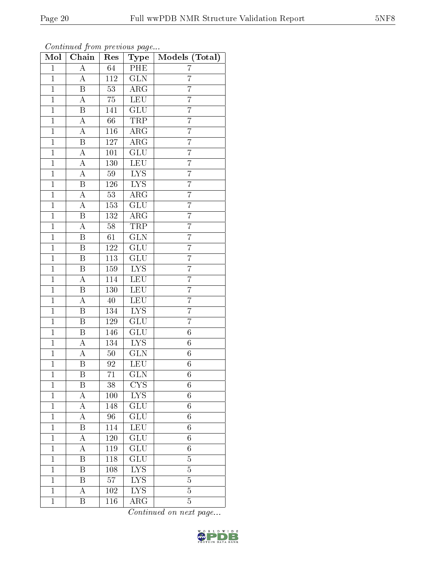| Mol            | Chain                   | Res             | Type                               | Models (Total)   |
|----------------|-------------------------|-----------------|------------------------------------|------------------|
| $\mathbf{1}$   | А                       | 64              | PHE                                | 7                |
| $\overline{1}$ | A                       | 112             | <b>GLN</b>                         | $\overline{7}$   |
| $\mathbf{1}$   | $\overline{\mathrm{B}}$ | 53              | $\overline{\rm{ARG}}$              | $\overline{7}$   |
| $\mathbf{1}$   | А                       | $75\,$          | <b>LEU</b>                         | $\overline{7}$   |
| $\mathbf{1}$   | $\boldsymbol{B}$        | 141             | $\overline{{\rm GLU}}$             | $\overline{7}$   |
| $\mathbf{1}$   | $\boldsymbol{A}$        | 66              | TRP                                | $\overline{7}$   |
| $\overline{1}$ | $\boldsymbol{A}$        | $116\,$         | $\rm{ARG}$                         | $\overline{7}$   |
| $\mathbf{1}$   | $\boldsymbol{B}$        | 127             | $\rm{ARG}$                         | $\overline{7}$   |
| $\mathbf{1}$   | A                       | 101             | GLU                                | $\overline{7}$   |
| $\mathbf{1}$   | $\overline{A}$          | 130             | LEU                                | $\overline{7}$   |
| $\mathbf{1}$   | $\boldsymbol{A}$        | $59\,$          | IYS                                | $\overline{7}$   |
| $\mathbf{1}$   | $\overline{\mathrm{B}}$ | 126             | $\overline{\text{LYS}}$            | $\overline{7}$   |
| $\mathbf{1}$   | $\boldsymbol{A}$        | 53              | $\overline{\rm ARG}$               | $\overline{7}$   |
| $\mathbf{1}$   | $\boldsymbol{A}$        | 153             | <b>GLU</b>                         | $\overline{7}$   |
| $\mathbf{1}$   | $\overline{\mathrm{B}}$ | 132             | $\overline{\text{ARG}}$            | $\overline{7}$   |
| $\mathbf{1}$   | A                       | $58\,$          | TRP                                | $\overline{7}$   |
| $\overline{1}$ | $\overline{\mathrm{B}}$ | 61              | $\overline{\text{GLN}}$            | $\overline{7}$   |
| $\mathbf{1}$   | $\boldsymbol{B}$        | 122             | GLU                                | $\overline{7}$   |
| $\mathbf{1}$   | $\boldsymbol{B}$        | 113             | $\overline{\text{GLU}}$            | $\overline{7}$   |
| $\mathbf{1}$   | B                       | 159             | I <sub>YS</sub>                    | $\overline{7}$   |
| $\overline{1}$ | А                       | 114             | <b>LEU</b>                         | $\overline{7}$   |
| $\mathbf{1}$   | $\overline{\mathrm{B}}$ | 130             | <b>LEU</b>                         | $\overline{7}$   |
| $\mathbf{1}$   | А                       | 40              | <b>LEU</b>                         | $\overline{7}$   |
| $\mathbf{1}$   | B                       | 134             | $\overline{\text{LYS}}$            | $\overline{7}$   |
| $\mathbf{1}$   | B                       | 129             | GLU                                | 7                |
| $\overline{1}$ | B                       | 146             | GLU                                | $\sqrt{6}$       |
| $\mathbf{1}$   | $\overline{\rm A}$      | 134             | $\overline{\text{LYS}}$            | $\sqrt{6}$       |
| $\mathbf{1}$   | A                       | 50              | <b>GLN</b>                         | $\,6$            |
| $\mathbf{1}$   | $\boldsymbol{B}$        | 92              | LEU                                | $\boldsymbol{6}$ |
| $\mathbf{1}$   | Β                       | 71              | <b>GLN</b>                         | 6                |
| $\mathbf{1}$   | B                       | 38              | $CY\overline{S}$                   | 6                |
| $\mathbf 1$    | А                       | $100\,$         | $\overline{\text{LYS}}$            | $\overline{6}$   |
| $\mathbf{1}$   | А                       | 148             | GLU                                | 6                |
| $\mathbf 1$    | A                       | $\overline{96}$ | $\overline{\text{GLU}}$            | 6                |
| $\mathbf{1}$   | B                       | 114             | $\mathrm{LE}\overline{\mathrm{U}}$ | 6                |
| $\mathbf{1}$   | А                       | $120\,$         | $\overline{\text{GLU}}$            | 6                |
| $\mathbf{1}$   | А                       | 119             | GLU                                | 6                |
| $\mathbf 1$    | $\boldsymbol{B}$        | 118             | GLU                                | $\overline{5}$   |
| $\mathbf{1}$   | B                       | 108             | <b>LYS</b>                         | 5                |
| $\mathbf{1}$   | B                       | 57              | <b>LYS</b>                         | $\overline{5}$   |
| $\mathbf{1}$   | А                       | 102             | $\overline{\text{LYS}}$            | 5                |
| $\mathbf{1}$   | B                       | 116             | ${\rm ARG}$                        | 5                |

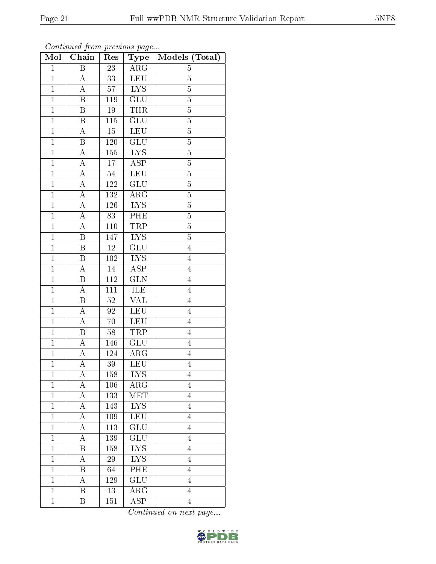| Mol            | Chain                   | Res              | Type                    | Models (Total) |
|----------------|-------------------------|------------------|-------------------------|----------------|
| $\mathbf 1$    | $\, {\bf B}$            | 23               | $\rm{ARG}$              | 5              |
| $\mathbf{1}$   | А                       | 33               | <b>LEU</b>              | 5              |
| $\mathbf{1}$   | $\overline{\rm A}$      | 57               | $\overline{\text{LYS}}$ | $\overline{5}$ |
| $\mathbf{1}$   | B                       | 119              | GLU                     | $\overline{5}$ |
| $\overline{1}$ | $\overline{\mathrm{B}}$ | $\overline{19}$  | <b>THR</b>              | $\overline{5}$ |
| $\mathbf{1}$   | B                       | 115              | GLU                     | 5              |
| $\mathbf 1$    | A                       | 15               | LEU                     | $\overline{5}$ |
| $\mathbf{1}$   | $\boldsymbol{B}$        | 120              | GLU                     | 5              |
| $\mathbf{1}$   | $\boldsymbol{A}$        | 155              | $\overline{LYS}$        | $\overline{5}$ |
| $\mathbf{1}$   | $\overline{A}$          | 17               | $\overline{\text{ASP}}$ | $\overline{5}$ |
| $\mathbf 1$    | A                       | $54\,$           | <b>LEU</b>              | $\overline{5}$ |
| $\mathbf{1}$   | A                       | 122              | GLU                     | $\overline{5}$ |
| $\mathbf{1}$   | $\overline{A}$          | 132              | $\rm{ARG}$              | $\overline{5}$ |
| $\overline{1}$ | $\boldsymbol{A}$        | 126              | $\overline{\text{LYS}}$ | $\overline{5}$ |
| $\overline{1}$ | A                       | 83               | $\overline{\text{PHE}}$ | $\overline{5}$ |
| $\mathbf{1}$   | A                       | 110              | TRP                     | $\overline{5}$ |
| $\mathbf{1}$   | $\boldsymbol{B}$        | 147              | $\overline{\text{LYS}}$ | $\overline{5}$ |
| $\mathbf{1}$   | B                       | $12\,$           | GLU                     | $\overline{4}$ |
| $\overline{1}$ | B                       | 102              | $\overline{\text{LYS}}$ | $\overline{4}$ |
| $\mathbf{1}$   | A                       | $14\,$           | $\overline{\text{ASP}}$ | $\overline{4}$ |
| $\mathbf{1}$   | B                       | $112\,$          | GLN                     | $\overline{4}$ |
| $\overline{1}$ | $\overline{\rm A}$      | $\overline{111}$ | <b>ILE</b>              | $\overline{4}$ |
| $\mathbf{1}$   | B                       | $52\,$           | VAL                     | $\overline{4}$ |
| $\overline{1}$ | A                       | $\overline{92}$  | LEU                     | $\overline{4}$ |
| $\mathbf{1}$   | $\overline{\rm A}$      | 70               | $\overline{\text{LEU}}$ | $\overline{4}$ |
| $\mathbf{1}$   | $\boldsymbol{B}$        | $58\,$           | TRP                     | $\overline{4}$ |
| $\mathbf{1}$   | $\overline{A}$          | 146              | GLU                     | $\overline{4}$ |
| $\mathbf{1}$   | A                       | 124              | ARG                     | $\overline{4}$ |
| $\overline{1}$ | $\overline{\rm A}$      | 39               | $\overline{\text{LEU}}$ | $\overline{4}$ |
| $\mathbf 1$    | А                       | 158              | $\overline{\text{LYS}}$ | $\overline{4}$ |
| 1              | А                       | 106              | $AR\overline{G}$        | $\overline{4}$ |
| $\mathbf{1}$   | A                       | 133              | <b>MET</b>              | $\overline{4}$ |
| $\mathbf{1}$   | A                       | 143              | LYS                     | $\overline{4}$ |
| $\mathbf{1}$   | A                       | 109              | <b>LEU</b>              | $\overline{4}$ |
| $\mathbf 1$    | А                       | 113              | GLU                     | $\overline{4}$ |
| $\mathbf{1}$   | А                       | 139              | $\overline{{\rm GLU}}$  | $\overline{4}$ |
| $\mathbf{1}$   | B                       | 158              | <b>LYS</b>              | $\overline{4}$ |
| $\mathbf{1}$   | А                       | 29               | $\overline{\text{LYS}}$ | $\overline{4}$ |
| $\mathbf{1}$   | B                       | 64               | $\overline{\rm PHE}$    | $\overline{4}$ |
| $\mathbf{1}$   | А                       | 129              | GLU                     | $\overline{4}$ |
| $\mathbf{1}$   | B                       | $13\,$           | $\rm{ARG}$              | $\overline{4}$ |
| $\mathbf{1}$   | Β                       | 151              | $\overline{\text{ASP}}$ | $\overline{4}$ |

Continued from previous page...

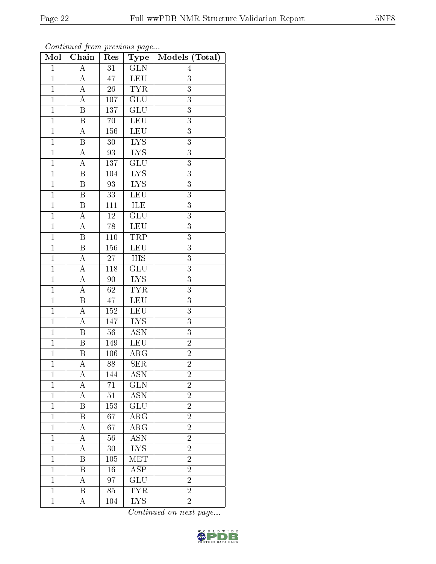| Mol            | Chain                   | Res             | Type                      | Models (Total)   |
|----------------|-------------------------|-----------------|---------------------------|------------------|
| $\mathbf{1}$   | $\overline{A}$          | 31              | GLN                       | 4                |
| $\overline{1}$ | $\rm A$                 | 47              | <b>LEU</b>                | $\boldsymbol{3}$ |
| $\overline{1}$ | $\overline{\rm A}$      | $26\,$          | <b>TYR</b>                | $\overline{3}$   |
| $\mathbf{1}$   | A                       | 107             | GLU                       | $\overline{3}$   |
| $\mathbf{1}$   | $\overline{\mathrm{B}}$ | 137             | $\overline{\text{GLU}}$   | $\overline{3}$   |
| $\mathbf{1}$   | B                       | 70              | LEU                       | $\boldsymbol{3}$ |
| $\overline{1}$ | A                       | 156             | LEU                       | $\overline{3}$   |
| $\mathbf{1}$   | $\boldsymbol{B}$        | 30              | $\overline{\text{LYS}}$   | $\overline{3}$   |
| $\mathbf{1}$   | A                       | 93              | $LYS$                     | 3                |
| $\mathbf{1}$   | A                       | 137             | $\overline{\text{GLU}}$   | 3                |
| $\overline{1}$ | $\boldsymbol{B}$        | 104             | $\overline{LYS}$          | 3                |
| $\mathbf{1}$   | $\overline{\mathrm{B}}$ | 93              | $\overline{\text{LYS}}$   | $\overline{3}$   |
| $\mathbf{1}$   | $\boldsymbol{B}$        | 33              | LEU                       | 3                |
| $\mathbf{1}$   | $\boldsymbol{B}$        | 111             | ILE                       | $\overline{3}$   |
| $\mathbf{1}$   | A                       | 12              | $\overline{{\rm GLU}}$    | 3                |
| $\overline{1}$ | A                       | 78              | <b>LEU</b>                | 3                |
| $\mathbf{1}$   | $\boldsymbol{B}$        | $110\,$         | <b>TRP</b>                | 3                |
| $\mathbf{1}$   | $\boldsymbol{B}$        | 156             | <b>LEU</b>                | 3                |
| $\mathbf{1}$   | A                       | $27\,$          | <b>HIS</b>                | $\overline{3}$   |
| $\mathbf{1}$   | $\overline{\rm A}$      | 118             | $\overline{\text{GLU}}$   | $\overline{3}$   |
| $\mathbf{1}$   | $\overline{A}$          | 90              | $LYS$                     | 3                |
| $\overline{1}$ | $\overline{\rm A}$      | $\overline{62}$ | <b>TYR</b>                | $\overline{3}$   |
| $\mathbf{1}$   | $\boldsymbol{B}$        | 47              | $L\overline{EU}$          | 3                |
| $\overline{1}$ | A                       | 152             | <b>LEU</b>                | $\overline{3}$   |
| $\mathbf{1}$   | A                       | 147             | $\overline{\text{LYS}}$   | 3                |
| $\overline{1}$ | $\overline{B}$          | 56              | <b>ASN</b>                | $\overline{3}$   |
| $\overline{1}$ | $\boldsymbol{B}$        | 149             | $\overline{\textrm{LEU}}$ | $\overline{2}$   |
| $\mathbf{1}$   | $\boldsymbol{B}$        | 106             | $\rm{ARG}$                | $\overline{2}$   |
| $\mathbf{1}$   | А                       | 88              | <b>SER</b>                | $\overline{2}$   |
| 1              | А                       | 144             | ASN                       | $\overline{2}$   |
| $\mathbf{1}$   | А                       | 71              | <b>GLN</b>                | $\overline{2}$   |
| $\mathbf 1$    | А                       | $51\,$          | $\overline{\text{ASN}}$   | $\overline{2}$   |
| $\mathbf{1}$   | B                       | 153             | GLU                       | $\overline{2}$   |
| $\mathbf{1}$   | B                       | 67              | $\overline{\rm{ARG}}$     | $\overline{2}$   |
| $\mathbf{1}$   | А                       | 67              | ARG                       | $\overline{2}$   |
| $\mathbf{1}$   | A                       | $56\,$          | $\overline{\mathrm{ASN}}$ | $\overline{2}$   |
| $\mathbf{1}$   | $\overline{\rm A}$      | 30              | ${\rm LYS}$               | $\overline{2}$   |
| $\mathbf 1$    | B                       | 105             | MET                       | $\overline{2}$   |
| $\mathbf{1}$   | $\overline{\mathrm{B}}$ | $16\,$          | $\overline{\text{ASP}}$   | $\overline{2}$   |
| $\mathbf{1}$   | А                       | 97              | GLU                       | $\overline{2}$   |
| $\overline{1}$ | $\overline{\mathrm{B}}$ | 85              | <b>TYR</b>                | $\overline{2}$   |
| $\mathbf 1$    | A                       | 104             | $\overline{\text{LYS}}$   | $\overline{2}$   |

Continued from previous page...

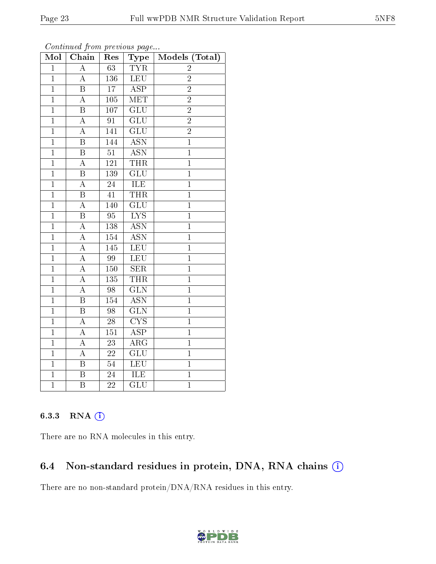| Mol            | . <i>.</i><br>$\overline{\text{Chain}}$ | $\mathbf{r}$ , $\circ$ $\circ$ $\circ$ $\circ$<br>Res | $\cdots$ $\cdots$<br>${\bf Type}$ | Models (Total) |
|----------------|-----------------------------------------|-------------------------------------------------------|-----------------------------------|----------------|
| $\mathbf{1}$   | A                                       | $\overline{63}$                                       | <b>TYR</b>                        | $\overline{2}$ |
| $\overline{1}$ | $\overline{\rm A}$                      | 136                                                   | <b>LEU</b>                        | $\overline{2}$ |
| $\overline{1}$ | $\overline{\mathrm{B}}$                 | $\overline{17}$                                       | $\overline{\text{ASP}}$           | $\overline{2}$ |
| $\overline{1}$ | $\overline{\rm A}$                      | 105                                                   | <b>MET</b>                        | $\overline{2}$ |
| $\overline{1}$ | $\overline{\mathrm{B}}$                 | $\overline{107}$                                      | $\overline{\text{GLU}}$           | $\overline{2}$ |
| $\overline{1}$ | $\boldsymbol{A}$                        | 91                                                    | GLU                               | $\overline{2}$ |
| $\overline{1}$ | $\overline{\rm A}$                      | $\overline{1}41$                                      | $\overline{\text{GLU}}$           | $\overline{2}$ |
| $\overline{1}$ | $\overline{\mathrm{B}}$                 | 144                                                   | <b>ASN</b>                        | $\overline{1}$ |
| $\mathbf{1}$   | $\overline{\mathrm{B}}$                 | 51                                                    | <b>ASN</b>                        | $\overline{1}$ |
| $\overline{1}$ | $\overline{\rm A}$                      | $\overline{121}$                                      | <b>THR</b>                        | $\overline{1}$ |
| $\mathbf{1}$   | $\boldsymbol{B}$                        | 139                                                   | GLU                               | $\mathbf{1}$   |
| $\mathbf{1}$   | $\overline{\rm A}$                      | $\overline{24}$                                       | <b>ILE</b>                        | $\mathbf{1}$   |
| $\overline{1}$ | $\overline{\mathrm{B}}$                 | 41                                                    | <b>THR</b>                        | $\overline{1}$ |
| $\mathbf{1}$   | $\overline{\rm A}$                      | 140                                                   | GLU                               | $\mathbf 1$    |
| $\overline{1}$ | $\overline{\mathrm{B}}$                 | $\overline{95}$                                       | $\overline{\text{LYS}}$           | $\overline{1}$ |
| $\overline{1}$ | $\overline{\rm A}$                      | 138                                                   | <b>ASN</b>                        | $\mathbf{1}$   |
| $\mathbf{1}$   | A                                       | 154                                                   | <b>ASN</b>                        | $\mathbf 1$    |
| $\mathbf{1}$   | $\overline{\rm A}$                      | 145                                                   | <b>LEU</b>                        | $\overline{1}$ |
| $\mathbf{1}$   | $\overline{\rm A}$                      | 99                                                    | <b>LEU</b>                        | $\mathbf{1}$   |
| $\overline{1}$ | $\overline{\rm A}$                      | 150                                                   | <b>SER</b>                        | $\mathbf 1$    |
| $\overline{1}$ | $\overline{\rm A}$                      | $\overline{135}$                                      | <b>THR</b>                        | $\overline{1}$ |
| $\overline{1}$ | $\overline{\rm A}$                      | 98                                                    | $\overline{\text{GLN}}$           | $\overline{1}$ |
| $\overline{1}$ | $\overline{B}$                          | 154                                                   | <b>ASN</b>                        | $\mathbf 1$    |
| $\overline{1}$ | $\overline{\mathrm{B}}$                 | $\overline{98}$                                       | $\overline{\text{GLN}}$           | $\overline{1}$ |
| $\overline{1}$ | $\overline{\rm A}$                      | $\overline{28}$                                       | $\overline{\text{CYS}}$           | $\overline{1}$ |
| $\overline{1}$ | $\overline{\rm A}$                      | 151                                                   | <b>ASP</b>                        | $\mathbf 1$    |
| $\overline{1}$ | $\overline{\rm A}$                      | $\overline{23}$                                       | $\overline{\rm{ARG}}$             | $\overline{1}$ |
| $\overline{1}$ | $\boldsymbol{A}$                        | 22                                                    | $\overline{\text{GLU}}$           | $\overline{1}$ |
| $\overline{1}$ | $\overline{\mathrm{B}}$                 | 54                                                    | LEU                               | $\overline{1}$ |
| $\overline{1}$ | $\overline{\mathrm{B}}$                 | 24                                                    | ILE                               | $\mathbf{1}$   |
| $\overline{1}$ | $\overline{\mathrm{B}}$                 | $\bar{2}2$                                            | $\overline{\mathrm{GLU}}$         | $\overline{1}$ |

Continued from previous page...

#### 6.3.3 RNA [O](https://www.wwpdb.org/validation/2017/NMRValidationReportHelp#rna)i

There are no RNA molecules in this entry.

### 6.4 Non-standard residues in protein, DNA, RNA chains (i)

There are no non-standard protein/DNA/RNA residues in this entry.

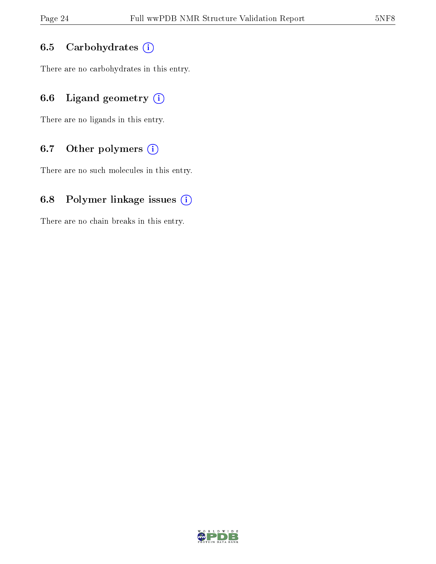#### 6.5 Carbohydrates (i)

There are no carbohydrates in this entry.

#### 6.6 Ligand geometry  $(i)$

There are no ligands in this entry.

#### 6.7 [O](https://www.wwpdb.org/validation/2017/NMRValidationReportHelp#nonstandard_residues_and_ligands)ther polymers (i)

There are no such molecules in this entry.

#### 6.8 Polymer linkage issues  $(i)$

There are no chain breaks in this entry.

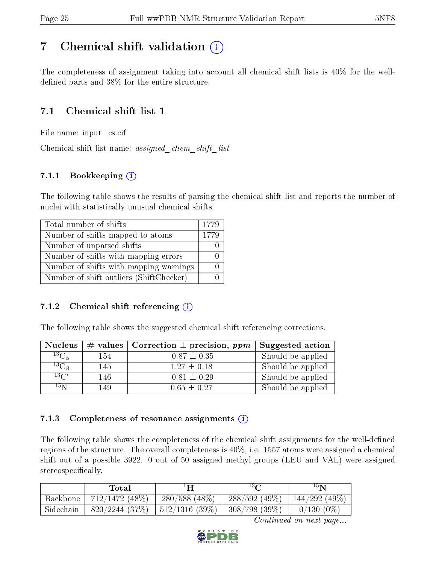### <span id="page-24-0"></span>7 Chemical shift validation  $\left( \begin{array}{c} \overline{1} \end{array} \right)$

The completeness of assignment taking into account all chemical shift lists is 40% for the welldefined parts and  $38\%$  for the entire structure.

#### 7.1 Chemical shift list 1

File name: input\_cs.cif

Chemical shift list name: assigned\_chem\_shift\_list

#### 7.1.1 Bookkeeping (i)

The following table shows the results of parsing the chemical shift list and reports the number of nuclei with statistically unusual chemical shifts.

| Total number of shifts                  | 1779 |
|-----------------------------------------|------|
| Number of shifts mapped to atoms        | 1779 |
| Number of unparsed shifts               |      |
| Number of shifts with mapping errors    |      |
| Number of shifts with mapping warnings  |      |
| Number of shift outliers (ShiftChecker) |      |

#### 7.1.2 Chemical shift referencing  $(i)$

The following table shows the suggested chemical shift referencing corrections.

| <b>Nucleus</b>      | $\#$ values | Correction $\pm$ precision, ppm | Suggested action  |
|---------------------|-------------|---------------------------------|-------------------|
| ${}^{13}C_{\alpha}$ | 154         | $-0.87 \pm 0.35$                | Should be applied |
| ${}^{13}C_{\beta}$  | 145         | $1.27 \pm 0.18$                 | Should be applied |
| 13C'                | 146         | $-0.81 \pm 0.29$                | Should be applied |
| $15\,\mathrm{N}$    | 149         | $0.65 \pm 0.27$                 | Should be applied |

#### 7.1.3 Completeness of resonance assignments  $(i)$

The following table shows the completeness of the chemical shift assignments for the well-defined regions of the structure. The overall completeness is 40%, i.e. 1557 atoms were assigned a chemical shift out of a possible 3922. 0 out of 50 assigned methyl groups (LEU and VAL) were assigned stereospecifically.

|                                    | Total                                              | ŀН               | $13\Omega$      | 15 <sub>N</sub> |
|------------------------------------|----------------------------------------------------|------------------|-----------------|-----------------|
| Backbone                           | $712/1472(48\%)$                                   | $280/588$ (48\%) | $288/592(49\%)$ | 144/292(49%)    |
| $\overline{\phantom{a}}$ Sidechain | $-820/2244$ (37%)   512/1316 (39%)   308/798 (39%) |                  |                 | $0/130(0\%)$    |